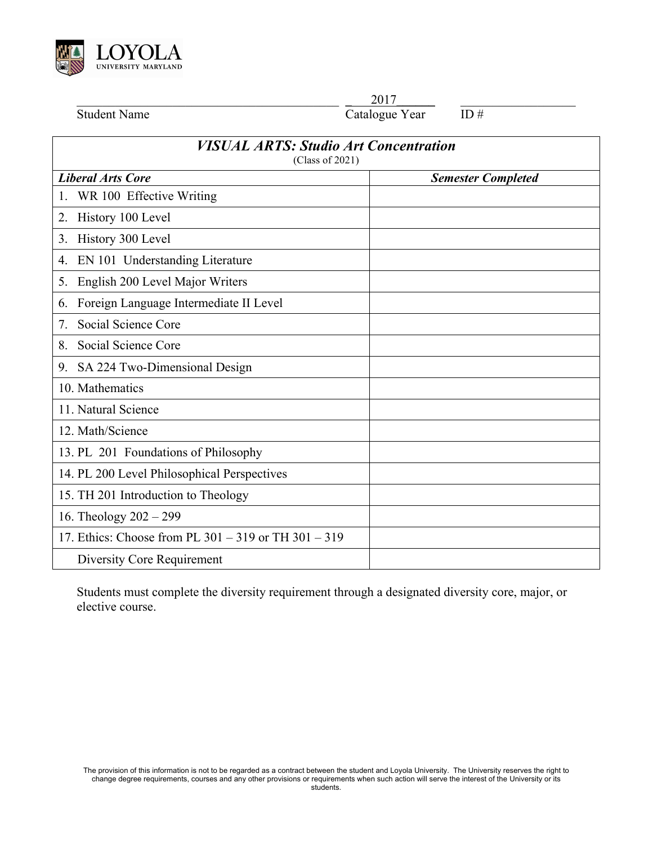

\_\_\_\_\_\_\_\_\_\_\_\_\_\_\_\_\_\_\_\_\_\_\_\_\_\_\_\_\_\_\_\_\_\_\_\_\_\_\_\_\_ **\_** 2017**\_\_\_\_\_\_** \_\_\_\_\_\_\_\_\_\_\_\_\_\_\_\_\_\_

Student Name Catalogue Year ID #

| <b>VISUAL ARTS: Studio Art Concentration</b><br>(Class of 2021) |                           |
|-----------------------------------------------------------------|---------------------------|
| <b>Liberal Arts Core</b>                                        | <b>Semester Completed</b> |
| WR 100 Effective Writing                                        |                           |
| History 100 Level<br>2.                                         |                           |
| History 300 Level<br>3.                                         |                           |
| EN 101 Understanding Literature<br>4.                           |                           |
| English 200 Level Major Writers<br>5.                           |                           |
| Foreign Language Intermediate II Level<br>6.                    |                           |
| Social Science Core<br>7.                                       |                           |
| Social Science Core<br>8.                                       |                           |
| SA 224 Two-Dimensional Design<br>9.                             |                           |
| 10. Mathematics                                                 |                           |
| 11. Natural Science                                             |                           |
| 12. Math/Science                                                |                           |
| 13. PL 201 Foundations of Philosophy                            |                           |
| 14. PL 200 Level Philosophical Perspectives                     |                           |
| 15. TH 201 Introduction to Theology                             |                           |
| 16. Theology $202 - 299$                                        |                           |
| 17. Ethics: Choose from PL 301 – 319 or TH 301 – 319            |                           |
| Diversity Core Requirement                                      |                           |

Students must complete the diversity requirement through a designated diversity core, major, or elective course.